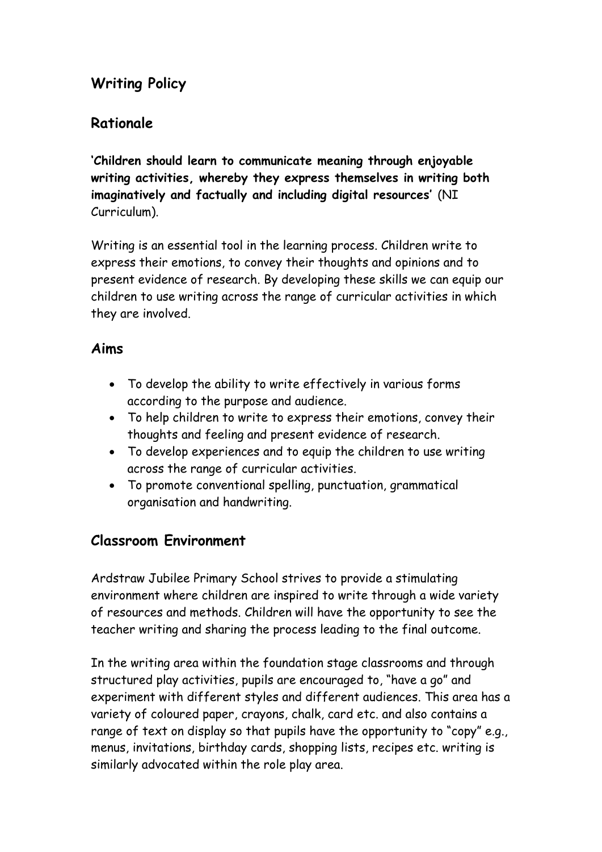# **Writing Policy**

### **Rationale**

**'Children should learn to communicate meaning through enjoyable writing activities, whereby they express themselves in writing both imaginatively and factually and including digital resources'** (NI Curriculum).

Writing is an essential tool in the learning process. Children write to express their emotions, to convey their thoughts and opinions and to present evidence of research. By developing these skills we can equip our children to use writing across the range of curricular activities in which they are involved.

### **Aims**

- To develop the ability to write effectively in various forms according to the purpose and audience.
- To help children to write to express their emotions, convey their thoughts and feeling and present evidence of research.
- To develop experiences and to equip the children to use writing across the range of curricular activities.
- To promote conventional spelling, punctuation, grammatical organisation and handwriting.

# **Classroom Environment**

Ardstraw Jubilee Primary School strives to provide a stimulating environment where children are inspired to write through a wide variety of resources and methods. Children will have the opportunity to see the teacher writing and sharing the process leading to the final outcome.

In the writing area within the foundation stage classrooms and through structured play activities, pupils are encouraged to, "have a go" and experiment with different styles and different audiences. This area has a variety of coloured paper, crayons, chalk, card etc. and also contains a range of text on display so that pupils have the opportunity to "copy" e.g., menus, invitations, birthday cards, shopping lists, recipes etc. writing is similarly advocated within the role play area.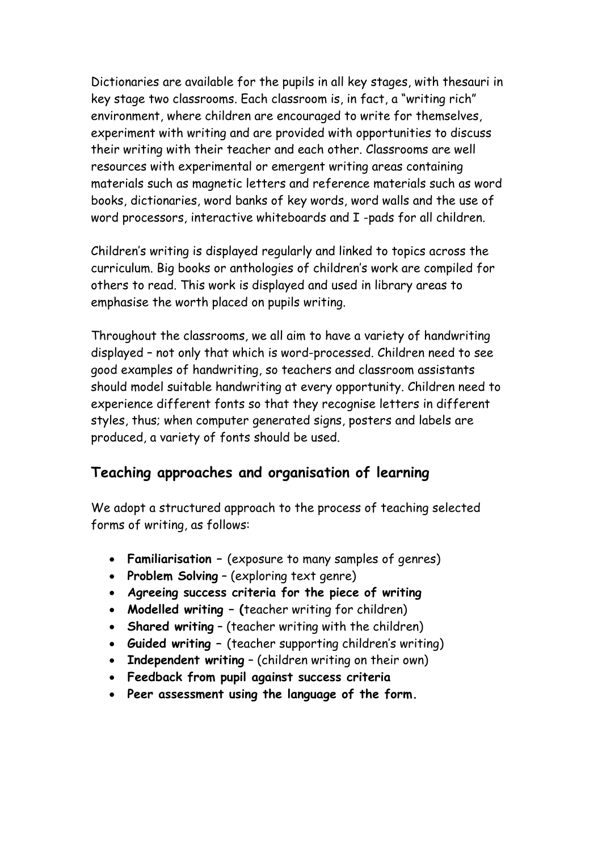Dictionaries are available for the pupils in all key stages, with thesauri in key stage two classrooms. Each classroom is, in fact, a "writing rich" environment, where children are encouraged to write for themselves, experiment with writing and are provided with opportunities to discuss their writing with their teacher and each other. Classrooms are well resources with experimental or emergent writing areas containing materials such as magnetic letters and reference materials such as word books, dictionaries, word banks of key words, word walls and the use of word processors, interactive whiteboards and I -pads for all children.

Children's writing is displayed regularly and linked to topics across the curriculum. Big books or anthologies of children's work are compiled for others to read. This work is displayed and used in library areas to emphasise the worth placed on pupils writing.

Throughout the classrooms, we all aim to have a variety of handwriting displayed – not only that which is word-processed. Children need to see good examples of handwriting, so teachers and classroom assistants should model suitable handwriting at every opportunity. Children need to experience different fonts so that they recognise letters in different styles, thus; when computer generated signs, posters and labels are produced, a variety of fonts should be used.

### **Teaching approaches and organisation of learning**

We adopt a structured approach to the process of teaching selected forms of writing, as follows:

- **Familiarisation –** (exposure to many samples of genres)
- **Problem Solving** (exploring text genre)
- **Agreeing success criteria for the piece of writing**
- **Modelled writing – (**teacher writing for children)
- **Shared writing** (teacher writing with the children)
- **Guided writing –** (teacher supporting children's writing)
- **Independent writing** (children writing on their own)
- **Feedback from pupil against success criteria**
- **Peer assessment using the language of the form.**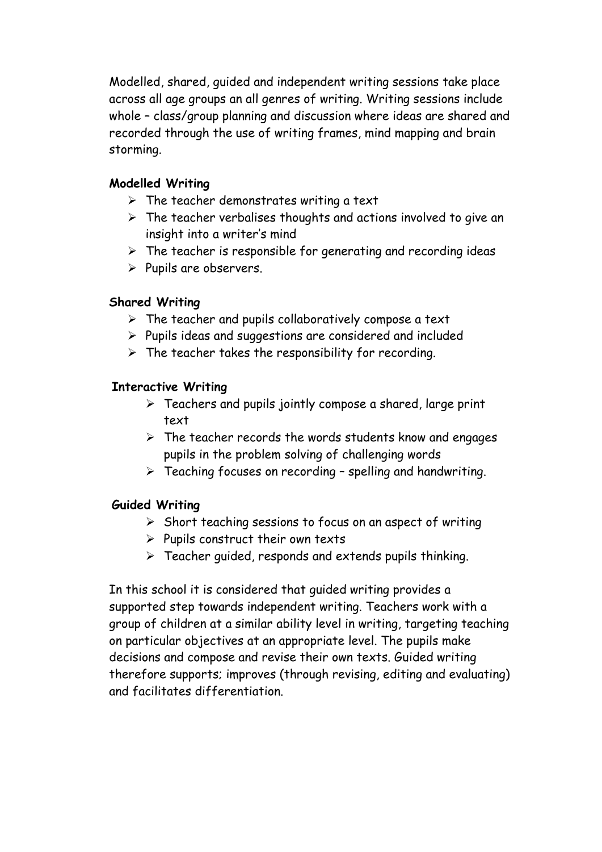Modelled, shared, guided and independent writing sessions take place across all age groups an all genres of writing. Writing sessions include whole – class/group planning and discussion where ideas are shared and recorded through the use of writing frames, mind mapping and brain storming.

#### **Modelled Writing**

- $\triangleright$  The teacher demonstrates writing a text
- $\triangleright$  The teacher verbalises thoughts and actions involved to give an insight into a writer's mind
- $\triangleright$  The teacher is responsible for generating and recording ideas
- $\triangleright$  Pupils are observers.

#### **Shared Writing**

- $\triangleright$  The teacher and pupils collaboratively compose a text
- $\triangleright$  Pupils ideas and suggestions are considered and included
- $\triangleright$  The teacher takes the responsibility for recording.

#### **Interactive Writing**

- $\triangleright$  Teachers and pupils jointly compose a shared, large print text
- $\triangleright$  The teacher records the words students know and engages pupils in the problem solving of challenging words
- $\triangleright$  Teaching focuses on recording spelling and handwriting.

#### **Guided Writing**

- $\triangleright$  Short teaching sessions to focus on an aspect of writing
- $\triangleright$  Pupils construct their own texts
- Teacher guided, responds and extends pupils thinking.

In this school it is considered that guided writing provides a supported step towards independent writing. Teachers work with a group of children at a similar ability level in writing, targeting teaching on particular objectives at an appropriate level. The pupils make decisions and compose and revise their own texts. Guided writing therefore supports; improves (through revising, editing and evaluating) and facilitates differentiation.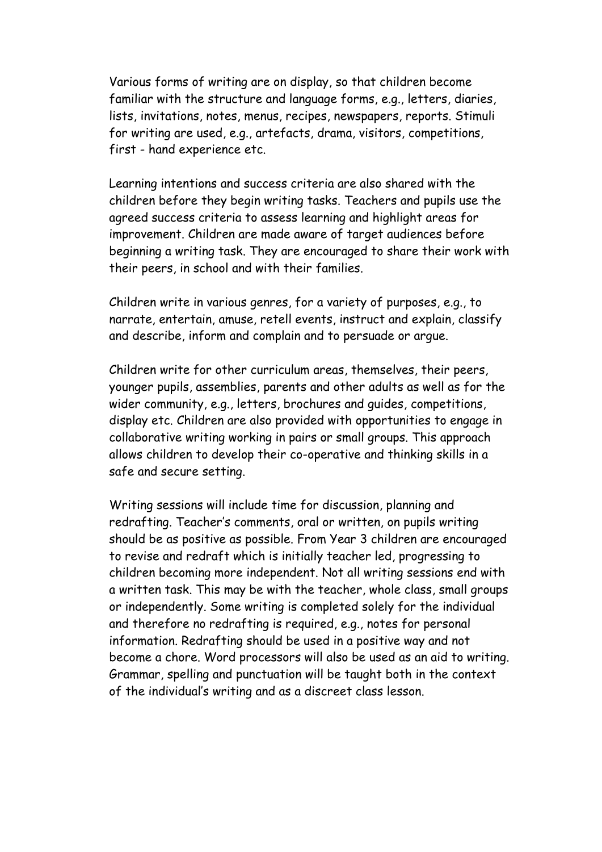Various forms of writing are on display, so that children become familiar with the structure and language forms, e.g., letters, diaries, lists, invitations, notes, menus, recipes, newspapers, reports. Stimuli for writing are used, e.g., artefacts, drama, visitors, competitions, first - hand experience etc.

Learning intentions and success criteria are also shared with the children before they begin writing tasks. Teachers and pupils use the agreed success criteria to assess learning and highlight areas for improvement. Children are made aware of target audiences before beginning a writing task. They are encouraged to share their work with their peers, in school and with their families.

Children write in various genres, for a variety of purposes, e.g., to narrate, entertain, amuse, retell events, instruct and explain, classify and describe, inform and complain and to persuade or argue.

Children write for other curriculum areas, themselves, their peers, younger pupils, assemblies, parents and other adults as well as for the wider community, e.g., letters, brochures and guides, competitions, display etc. Children are also provided with opportunities to engage in collaborative writing working in pairs or small groups. This approach allows children to develop their co-operative and thinking skills in a safe and secure setting.

Writing sessions will include time for discussion, planning and redrafting. Teacher's comments, oral or written, on pupils writing should be as positive as possible. From Year 3 children are encouraged to revise and redraft which is initially teacher led, progressing to children becoming more independent. Not all writing sessions end with a written task. This may be with the teacher, whole class, small groups or independently. Some writing is completed solely for the individual and therefore no redrafting is required, e.g., notes for personal information. Redrafting should be used in a positive way and not become a chore. Word processors will also be used as an aid to writing. Grammar, spelling and punctuation will be taught both in the context of the individual's writing and as a discreet class lesson.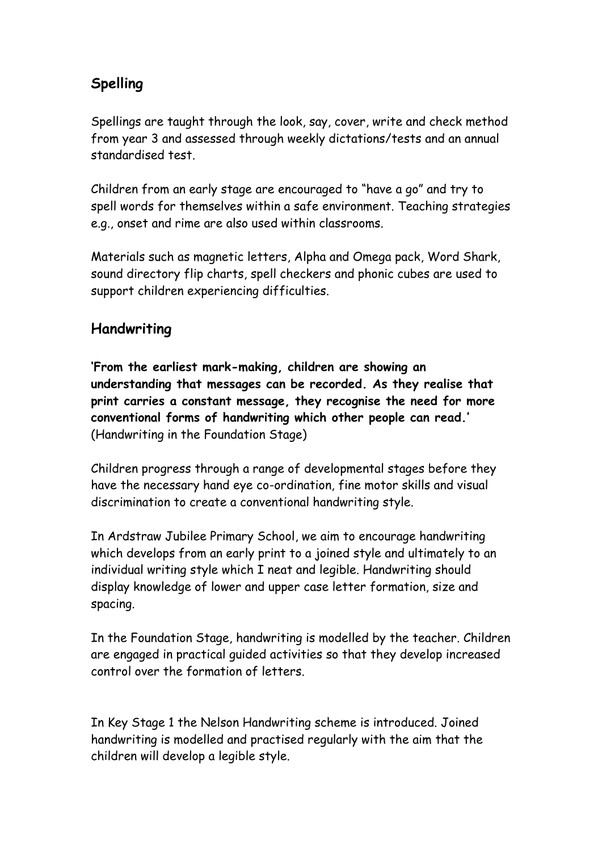## **Spelling**

Spellings are taught through the look, say, cover, write and check method from year 3 and assessed through weekly dictations/tests and an annual standardised test.

Children from an early stage are encouraged to "have a go" and try to spell words for themselves within a safe environment. Teaching strategies e.g., onset and rime are also used within classrooms.

Materials such as magnetic letters, Alpha and Omega pack, Word Shark, sound directory flip charts, spell checkers and phonic cubes are used to support children experiencing difficulties.

### **Handwriting**

**'From the earliest mark-making, children are showing an understanding that messages can be recorded. As they realise that print carries a constant message, they recognise the need for more conventional forms of handwriting which other people can read.'** (Handwriting in the Foundation Stage)

Children progress through a range of developmental stages before they have the necessary hand eye co-ordination, fine motor skills and visual discrimination to create a conventional handwriting style.

In Ardstraw Jubilee Primary School, we aim to encourage handwriting which develops from an early print to a joined style and ultimately to an individual writing style which I neat and legible. Handwriting should display knowledge of lower and upper case letter formation, size and spacing.

In the Foundation Stage, handwriting is modelled by the teacher. Children are engaged in practical guided activities so that they develop increased control over the formation of letters.

In Key Stage 1 the Nelson Handwriting scheme is introduced. Joined handwriting is modelled and practised regularly with the aim that the children will develop a legible style.